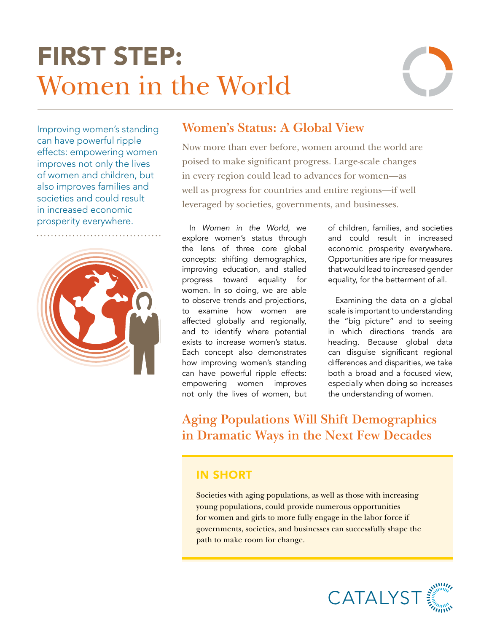# FIRST STEP: Women in the World



Improving women's standing can have powerful ripple effects: empowering women improves not only the lives of women and children, but also improves families and societies and could result in increased economic prosperity everywhere.



# **Women's Status: A Global View**

Now more than ever before, women around the world are poised to make significant progress. Large-scale changes in every region could lead to advances for women—as well as progress for countries and entire regions—if well leveraged by societies, governments, and businesses.

In *Women in the World*, we explore women's status through the lens of three core global concepts: shifting demographics, improving education, and stalled progress toward equality for women. In so doing, we are able to observe trends and projections, to examine how women are affected globally and regionally, and to identify where potential exists to increase women's status. Each concept also demonstrates how improving women's standing can have powerful ripple effects: empowering women improves not only the lives of women, but of children, families, and societies and could result in increased economic prosperity everywhere. Opportunities are ripe for measures that would lead to increased gender equality, for the betterment of all.

Examining the data on a global scale is important to understanding the "big picture" and to seeing in which directions trends are heading. Because global data can disguise significant regional differences and disparities, we take both a broad and a focused view, especially when doing so increases the understanding of women.

**Aging Populations Will Shift Demographics in Dramatic Ways in the Next Few Decades**

### IN SHORT

Societies with aging populations, as well as those with increasing young populations, could provide numerous opportunities for women and girls to more fully engage in the labor force if governments, societies, and businesses can successfully shape the path to make room for change.

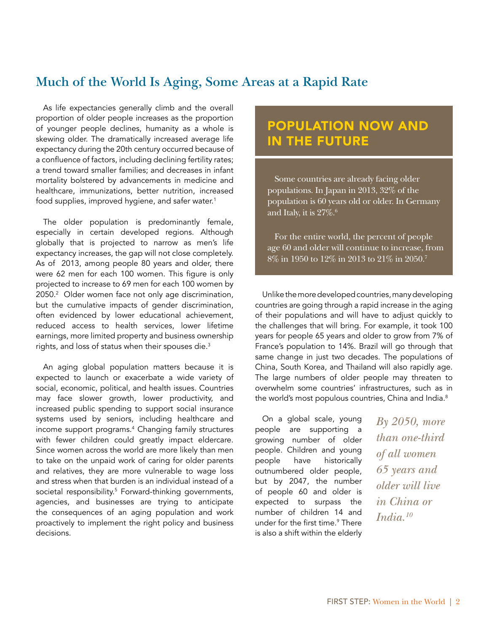# **Much of the World Is Aging, Some Areas at a Rapid Rate**

As life expectancies generally climb and the overall proportion of older people increases as the proportion of younger people declines, humanity as a whole is skewing older. The dramatically increased average life expectancy during the 20th century occurred because of a confluence of factors, including declining fertility rates; a trend toward smaller families; and decreases in infant mortality bolstered by advancements in medicine and healthcare, immunizations, better nutrition, increased food supplies, improved hygiene, and safer water.<sup>1</sup>

The older population is predominantly female, especially in certain developed regions. Although globally that is projected to narrow as men's life expectancy increases, the gap will not close completely. As of 2013, among people 80 years and older, there were 62 men for each 100 women. This figure is only projected to increase to 69 men for each 100 women by 2050.2 Older women face not only age discrimination, but the cumulative impacts of gender discrimination, often evidenced by lower educational achievement, reduced access to health services, lower lifetime earnings, more limited property and business ownership rights, and loss of status when their spouses die.<sup>3</sup>

An aging global population matters because it is expected to launch or exacerbate a wide variety of social, economic, political, and health issues. Countries may face slower growth, lower productivity, and increased public spending to support social insurance systems used by seniors, including healthcare and income support programs.4 Changing family structures with fewer children could greatly impact eldercare. Since women across the world are more likely than men to take on the unpaid work of caring for older parents and relatives, they are more vulnerable to wage loss and stress when that burden is an individual instead of a societal responsibility.5 Forward-thinking governments, agencies, and businesses are trying to anticipate the consequences of an aging population and work proactively to implement the right policy and business decisions.

# POPULATION NOW AND IN THE FUTURE

Some countries are already facing older populations. In Japan in 2013, 32% of the population is 60 years old or older. In Germany and Italy, it is  $27\%$ .<sup>6</sup>

For the entire world, the percent of people age 60 and older will continue to increase, from 8% in 1950 to 12% in 2013 to 21% in 2050.7

Unlike the more developed countries, many developing countries are going through a rapid increase in the aging of their populations and will have to adjust quickly to the challenges that will bring. For example, it took 100 years for people 65 years and older to grow from 7% of France's population to 14%. Brazil will go through that same change in just two decades. The populations of China, South Korea, and Thailand will also rapidly age. The large numbers of older people may threaten to overwhelm some countries' infrastructures, such as in the world's most populous countries, China and India.<sup>8</sup>

On a global scale, young people are supporting a growing number of older people. Children and young people have historically outnumbered older people, but by 2047, the number of people 60 and older is expected to surpass the number of children 14 and under for the first time.<sup>9</sup> There is also a shift within the elderly

*By 2050, more than one-third of all women 65 years and older will live in China or India.10*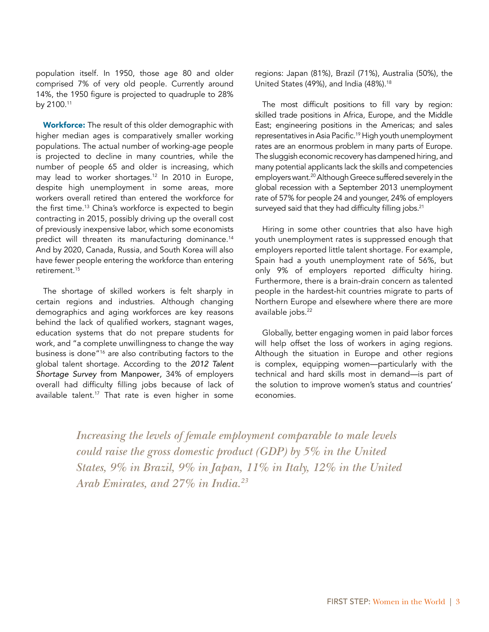population itself. In 1950, those age 80 and older comprised 7% of very old people. Currently around 14%, the 1950 figure is projected to quadruple to 28% by 2100.11

Workforce: The result of this older demographic with higher median ages is comparatively smaller working populations. The actual number of working-age people is projected to decline in many countries, while the number of people 65 and older is increasing, which may lead to worker shortages.12 In 2010 in Europe, despite high unemployment in some areas, more workers overall retired than entered the workforce for the first time.<sup>13</sup> China's workforce is expected to begin contracting in 2015, possibly driving up the overall cost of previously inexpensive labor, which some economists predict will threaten its manufacturing dominance.<sup>14</sup> And by 2020, Canada, Russia, and South Korea will also have fewer people entering the workforce than entering retirement<sup>15</sup>

The shortage of skilled workers is felt sharply in certain regions and industries. Although changing demographics and aging workforces are key reasons behind the lack of qualified workers, stagnant wages, education systems that do not prepare students for work, and "a complete unwillingness to change the way business is done"16 are also contributing factors to the global talent shortage. According to the *2012 Talent Shortage Survey* from Manpower*,* 34% of employers overall had difficulty filling jobs because of lack of available talent.<sup>17</sup> That rate is even higher in some regions: Japan (81%), Brazil (71%), Australia (50%), the United States (49%), and India (48%).<sup>18</sup>

The most difficult positions to fill vary by region: skilled trade positions in Africa, Europe, and the Middle East; engineering positions in the Americas; and sales representatives in Asia Pacific.<sup>19</sup> High youth unemployment rates are an enormous problem in many parts of Europe. The sluggish economic recovery has dampened hiring, and many potential applicants lack the skills and competencies employers want.<sup>20</sup> Although Greece suffered severely in the global recession with a September 2013 unemployment rate of 57% for people 24 and younger, 24% of employers surveyed said that they had difficulty filling jobs.<sup>21</sup>

Hiring in some other countries that also have high youth unemployment rates is suppressed enough that employers reported little talent shortage. For example, Spain had a youth unemployment rate of 56%, but only 9% of employers reported difficulty hiring. Furthermore, there is a brain-drain concern as talented people in the hardest-hit countries migrate to parts of Northern Europe and elsewhere where there are more available jobs.<sup>22</sup>

Globally, better engaging women in paid labor forces will help offset the loss of workers in aging regions. Although the situation in Europe and other regions is complex, equipping women—particularly with the technical and hard skills most in demand—is part of the solution to improve women's status and countries' economies.

*Increasing the levels of female employment comparable to male levels could raise the gross domestic product (GDP) by 5% in the United States, 9% in Brazil, 9% in Japan, 11% in Italy, 12% in the United Arab Emirates, and 27% in India.23*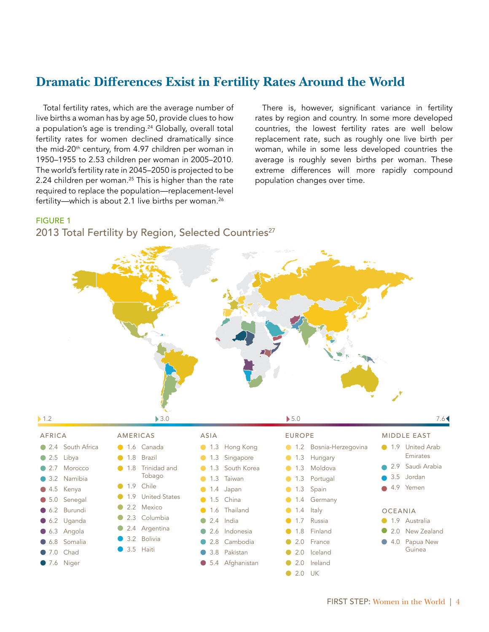## **Dramatic Differences Exist in Fertility Rates Around the World**

Total fertility rates, which are the average number of live births a woman has by age 50, provide clues to how a population's age is trending.<sup>24</sup> Globally, overall total fertility rates for women declined dramatically since the mid-20<sup>th</sup> century, from 4.97 children per woman in 1950–1955 to 2.53 children per woman in 2005–2010. The world's fertility rate in 2045–2050 is projected to be 2.24 children per woman.<sup>25</sup> This is higher than the rate required to replace the population—replacement-level fertility—which is about 2.1 live births per woman.<sup>26</sup>

There is, however, significant variance in fertility rates by region and country. In some more developed countries, the lowest fertility rates are well below replacement rate, such as roughly one live birth per woman, while in some less developed countries the average is roughly seven births per woman. These extreme differences will more rapidly compound population changes over time.

#### FIGURE 1

#### 2013 Total Fertility by Region, Selected Countries<sup>27</sup>

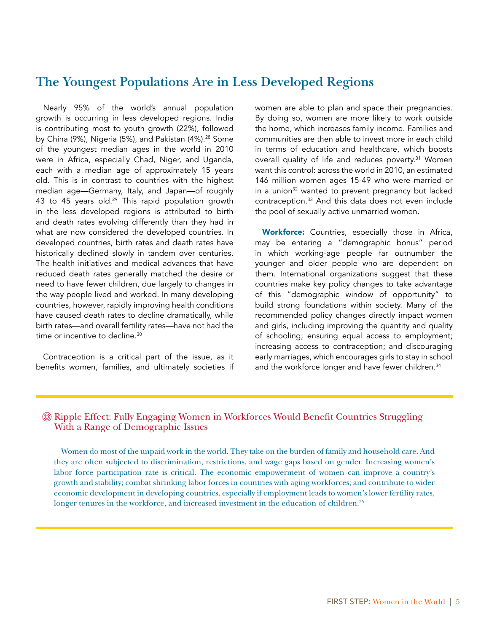### **The Youngest Populations Are in Less Developed Regions**

Nearly 95% of the world's annual population growth is occurring in less developed regions. India is contributing most to youth growth (22%), followed by China (9%), Nigeria (5%), and Pakistan (4%).<sup>28</sup> Some of the youngest median ages in the world in 2010 were in Africa, especially Chad, Niger, and Uganda, each with a median age of approximately 15 years old. This is in contrast to countries with the highest median age—Germany, Italy, and Japan—of roughly 43 to 45 years old.<sup>29</sup> This rapid population growth in the less developed regions is attributed to birth and death rates evolving differently than they had in what are now considered the developed countries. In developed countries, birth rates and death rates have historically declined slowly in tandem over centuries. The health initiatives and medical advances that have reduced death rates generally matched the desire or need to have fewer children, due largely to changes in the way people lived and worked. In many developing countries, however, rapidly improving health conditions have caused death rates to decline dramatically, while birth rates—and overall fertility rates—have not had the time or incentive to decline.<sup>30</sup>

Contraception is a critical part of the issue, as it benefits women, families, and ultimately societies if women are able to plan and space their pregnancies. By doing so, women are more likely to work outside the home, which increases family income. Families and communities are then able to invest more in each child in terms of education and healthcare, which boosts overall quality of life and reduces poverty.<sup>31</sup> Women want this control: across the world in 2010, an estimated 146 million women ages 15-49 who were married or in a union<sup>32</sup> wanted to prevent pregnancy but lacked contraception.33 And this data does not even include the pool of sexually active unmarried women.

Workforce: Countries, especially those in Africa, may be entering a "demographic bonus" period in which working-age people far outnumber the younger and older people who are dependent on them. International organizations suggest that these countries make key policy changes to take advantage of this "demographic window of opportunity" to build strong foundations within society. Many of the recommended policy changes directly impact women and girls, including improving the quantity and quality of schooling; ensuring equal access to employment; increasing access to contraception; and discouraging early marriages, which encourages girls to stay in school and the workforce longer and have fewer children.<sup>34</sup>

#### Ripple Effect: Fully Engaging Women in Workforces Would Benefit Countries Struggling With a Range of Demographic Issues

Women do most of the unpaid work in the world. They take on the burden of family and household care. And they are often subjected to discrimination, restrictions, and wage gaps based on gender. Increasing women's labor force participation rate is critical. The economic empowerment of women can improve a country's growth and stability; combat shrinking labor forces in countries with aging workforces; and contribute to wider economic development in developing countries, especially if employment leads to women's lower fertility rates, longer tenures in the workforce, and increased investment in the education of children.<sup>35</sup>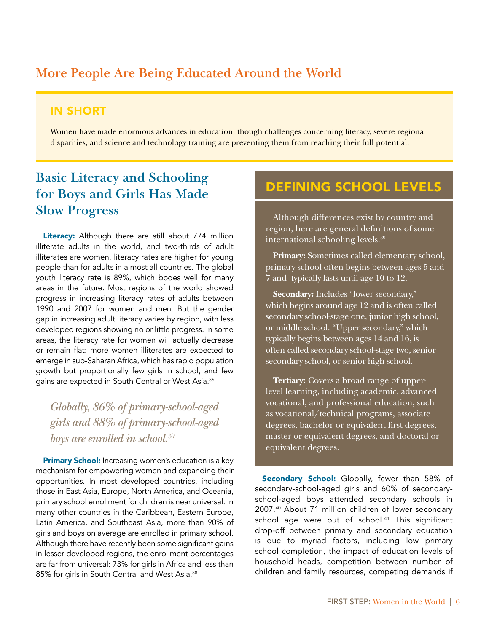# **More People Are Being Educated Around the World**

#### IN SHORT

Women have made enormous advances in education, though challenges concerning literacy, severe regional disparities, and science and technology training are preventing them from reaching their full potential.

# **Basic Literacy and Schooling for Boys and Girls Has Made Slow Progress**

Literacy: Although there are still about 774 million illiterate adults in the world, and two-thirds of adult illiterates are women, literacy rates are higher for young people than for adults in almost all countries. The global youth literacy rate is 89%, which bodes well for many areas in the future. Most regions of the world showed progress in increasing literacy rates of adults between 1990 and 2007 for women and men. But the gender gap in increasing adult literacy varies by region, with less developed regions showing no or little progress. In some areas, the literacy rate for women will actually decrease or remain flat: more women illiterates are expected to emerge in sub-Saharan Africa, which has rapid population growth but proportionally few girls in school, and few gains are expected in South Central or West Asia.<sup>36</sup>

*Globally, 86% of primary-school-aged girls and 88% of primary-school-aged boys are enrolled in school.*<sup>37</sup>

Primary School: Increasing women's education is a key mechanism for empowering women and expanding their opportunities. In most developed countries, including those in East Asia, Europe, North America, and Oceania, primary school enrollment for children is near universal. In many other countries in the Caribbean, Eastern Europe, Latin America, and Southeast Asia, more than 90% of girls and boys on average are enrolled in primary school. Although there have recently been some significant gains in lesser developed regions, the enrollment percentages are far from universal: 73% for girls in Africa and less than 85% for girls in South Central and West Asia.38

# DEFINING SCHOOL LEVELS

Although differences exist by country and region, here are general definitions of some international schooling levels.39

**Primary:** Sometimes called elementary school, primary school often begins between ages 5 and 7 and typically lasts until age 10 to 12.

**Secondary:** Includes "lower secondary," which begins around age 12 and is often called secondary school-stage one, junior high school, or middle school. "Upper secondary," which typically begins between ages 14 and 16, is often called secondary school-stage two, senior secondary school, or senior high school.

**Tertiary:** Covers a broad range of upperlevel learning, including academic, advanced vocational, and professional education, such as vocational/technical programs, associate degrees, bachelor or equivalent first degrees, master or equivalent degrees, and doctoral or equivalent degrees.

Secondary School: Globally, fewer than 58% of secondary-school-aged girls and 60% of secondaryschool-aged boys attended secondary schools in 2007.40 About 71 million children of lower secondary school age were out of school.<sup>41</sup> This significant drop-off between primary and secondary education is due to myriad factors, including low primary school completion, the impact of education levels of household heads, competition between number of children and family resources, competing demands if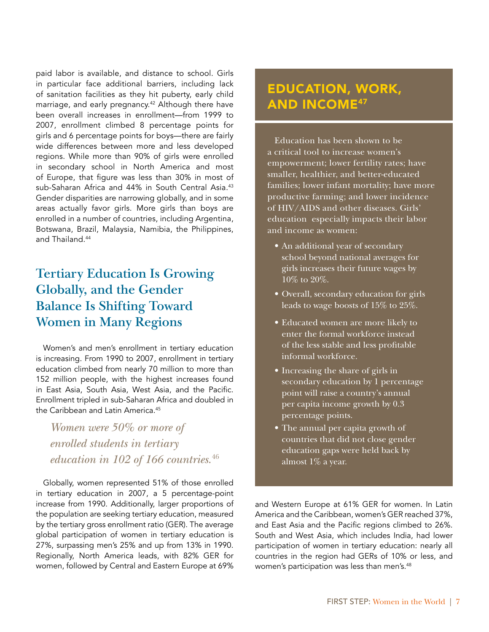paid labor is available, and distance to school. Girls in particular face additional barriers, including lack of sanitation facilities as they hit puberty, early child marriage, and early pregnancy.<sup>42</sup> Although there have been overall increases in enrollment—from 1999 to 2007, enrollment climbed 8 percentage points for girls and 6 percentage points for boys—there are fairly wide differences between more and less developed regions. While more than 90% of girls were enrolled in secondary school in North America and most of Europe, that figure was less than 30% in most of sub-Saharan Africa and 44% in South Central Asia.<sup>43</sup> Gender disparities are narrowing globally, and in some areas actually favor girls. More girls than boys are enrolled in a number of countries, including Argentina, Botswana, Brazil, Malaysia, Namibia, the Philippines, and Thailand.<sup>44</sup>

# **Tertiary Education Is Growing Globally, and the Gender Balance Is Shifting Toward Women in Many Regions**

Women's and men's enrollment in tertiary education is increasing. From 1990 to 2007, enrollment in tertiary education climbed from nearly 70 million to more than 152 million people, with the highest increases found in East Asia, South Asia, West Asia, and the Pacific. Enrollment tripled in sub-Saharan Africa and doubled in the Caribbean and Latin America.<sup>45</sup>

*Women were 50% or more of enrolled students in tertiary education in 102 of 166 countries.*<sup>46</sup>

Globally, women represented 51% of those enrolled in tertiary education in 2007, a 5 percentage-point increase from 1990. Additionally, larger proportions of the population are seeking tertiary education, measured by the tertiary gross enrollment ratio (GER). The average global participation of women in tertiary education is 27%, surpassing men's 25% and up from 13% in 1990. Regionally, North America leads, with 82% GER for women, followed by Central and Eastern Europe at 69%

# EDUCATION, WORK, **AND INCOME47**

Education has been shown to be a critical tool to increase women's empowerment; lower fertility rates; have smaller, healthier, and better-educated families; lower infant mortality; have more productive farming; and lower incidence of HIV/AIDS and other diseases. Girls' education especially impacts their labor and income as women:

- An additional year of secondary school beyond national averages for girls increases their future wages by 10% to 20%.
- Overall, secondary education for girls leads to wage boosts of 15% to 25%.
- Educated women are more likely to enter the formal workforce instead of the less stable and less profitable informal workforce.
- Increasing the share of girls in secondary education by 1 percentage point will raise a country's annual per capita income growth by 0.3 percentage points.
- The annual per capita growth of countries that did not close gender education gaps were held back by almost 1% a year.

and Western Europe at 61% GER for women. In Latin America and the Caribbean, women's GER reached 37%, and East Asia and the Pacific regions climbed to 26%. South and West Asia, which includes India, had lower participation of women in tertiary education: nearly all countries in the region had GERs of 10% or less, and women's participation was less than men's.<sup>48</sup>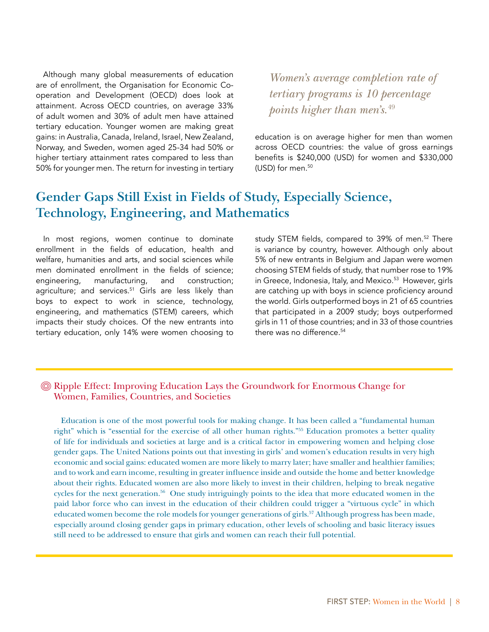Although many global measurements of education are of enrollment, the Organisation for Economic Cooperation and Development (OECD) does look at attainment. Across OECD countries, on average 33% of adult women and 30% of adult men have attained tertiary education. Younger women are making great gains: in Australia, Canada, Ireland, Israel, New Zealand, Norway, and Sweden, women aged 25-34 had 50% or higher tertiary attainment rates compared to less than 50% for younger men. The return for investing in tertiary

*Women's average completion rate of tertiary programs is 10 percentage points higher than men's.*49

education is on average higher for men than women across OECD countries: the value of gross earnings benefits is \$240,000 (USD) for women and \$330,000 (USD) for men.<sup>50</sup>

# **Gender Gaps Still Exist in Fields of Study, Especially Science, Technology, Engineering, and Mathematics**

In most regions, women continue to dominate enrollment in the fields of education, health and welfare, humanities and arts, and social sciences while men dominated enrollment in the fields of science; engineering, manufacturing, and construction; agriculture; and services.<sup>51</sup> Girls are less likely than boys to expect to work in science, technology, engineering, and mathematics (STEM) careers, which impacts their study choices. Of the new entrants into tertiary education, only 14% were women choosing to study STEM fields, compared to 39% of men.<sup>52</sup> There is variance by country, however. Although only about 5% of new entrants in Belgium and Japan were women choosing STEM fields of study, that number rose to 19% in Greece, Indonesia, Italy, and Mexico.<sup>53</sup> However, girls are catching up with boys in science proficiency around the world. Girls outperformed boys in 21 of 65 countries that participated in a 2009 study; boys outperformed girls in 11 of those countries; and in 33 of those countries there was no difference.<sup>54</sup>

#### Ripple Effect: Improving Education Lays the Groundwork for Enormous Change for Women, Families, Countries, and Societies

Education is one of the most powerful tools for making change. It has been called a "fundamental human right" which is "essential for the exercise of all other human rights."55 Education promotes a better quality of life for individuals and societies at large and is a critical factor in empowering women and helping close gender gaps. The United Nations points out that investing in girls' and women's education results in very high economic and social gains: educated women are more likely to marry later; have smaller and healthier families; and to work and earn income, resulting in greater influence inside and outside the home and better knowledge about their rights. Educated women are also more likely to invest in their children, helping to break negative cycles for the next generation.<sup>56</sup> One study intriguingly points to the idea that more educated women in the paid labor force who can invest in the education of their children could trigger a "virtuous cycle" in which educated women become the role models for younger generations of girls.<sup>57</sup> Although progress has been made, especially around closing gender gaps in primary education, other levels of schooling and basic literacy issues still need to be addressed to ensure that girls and women can reach their full potential.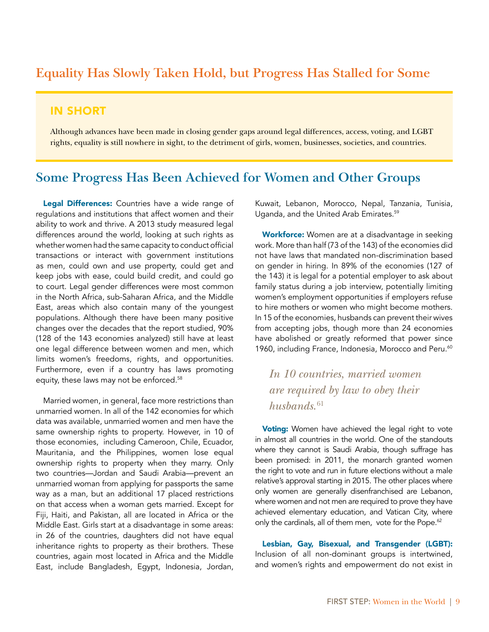### **Equality Has Slowly Taken Hold, but Progress Has Stalled for Some**

#### IN SHORT

Although advances have been made in closing gender gaps around legal differences, access, voting, and LGBT rights, equality is still nowhere in sight, to the detriment of girls, women, businesses, societies, and countries.

#### **Some Progress Has Been Achieved for Women and Other Groups**

Legal Differences: Countries have a wide range of regulations and institutions that affect women and their ability to work and thrive. A 2013 study measured legal differences around the world, looking at such rights as whether women had the same capacity to conduct official transactions or interact with government institutions as men, could own and use property, could get and keep jobs with ease, could build credit, and could go to court. Legal gender differences were most common in the North Africa, sub-Saharan Africa, and the Middle East, areas which also contain many of the youngest populations. Although there have been many positive changes over the decades that the report studied, 90% (128 of the 143 economies analyzed) still have at least one legal difference between women and men, which limits women's freedoms, rights, and opportunities. Furthermore, even if a country has laws promoting equity, these laws may not be enforced.<sup>58</sup>

Married women, in general, face more restrictions than unmarried women. In all of the 142 economies for which data was available, unmarried women and men have the same ownership rights to property. However, in 10 of those economies, including Cameroon, Chile, Ecuador, Mauritania, and the Philippines, women lose equal ownership rights to property when they marry. Only two countries—Jordan and Saudi Arabia—prevent an unmarried woman from applying for passports the same way as a man, but an additional 17 placed restrictions on that access when a woman gets married. Except for Fiji, Haiti, and Pakistan, all are located in Africa or the Middle East. Girls start at a disadvantage in some areas: in 26 of the countries, daughters did not have equal inheritance rights to property as their brothers. These countries, again most located in Africa and the Middle East, include Bangladesh, Egypt, Indonesia, Jordan,

Kuwait, Lebanon, Morocco, Nepal, Tanzania, Tunisia, Uganda, and the United Arab Emirates.59

Workforce: Women are at a disadvantage in seeking work. More than half (73 of the 143) of the economies did not have laws that mandated non-discrimination based on gender in hiring. In 89% of the economies (127 of the 143) it is legal for a potential employer to ask about family status during a job interview, potentially limiting women's employment opportunities if employers refuse to hire mothers or women who might become mothers. In 15 of the economies, husbands can prevent their wives from accepting jobs, though more than 24 economies have abolished or greatly reformed that power since 1960, including France, Indonesia, Morocco and Peru.<sup>60</sup>

## *In 10 countries, married women are required by law to obey their*  husbands.<sup>61</sup>

Voting: Women have achieved the legal right to vote in almost all countries in the world. One of the standouts where they cannot is Saudi Arabia, though suffrage has been promised: in 2011, the monarch granted women the right to vote and run in future elections without a male relative's approval starting in 2015. The other places where only women are generally disenfranchised are Lebanon, where women and not men are required to prove they have achieved elementary education, and Vatican City, where only the cardinals, all of them men, vote for the Pope.<sup>62</sup>

Lesbian, Gay, Bisexual, and Transgender (LGBT): Inclusion of all non-dominant groups is intertwined, and women's rights and empowerment do not exist in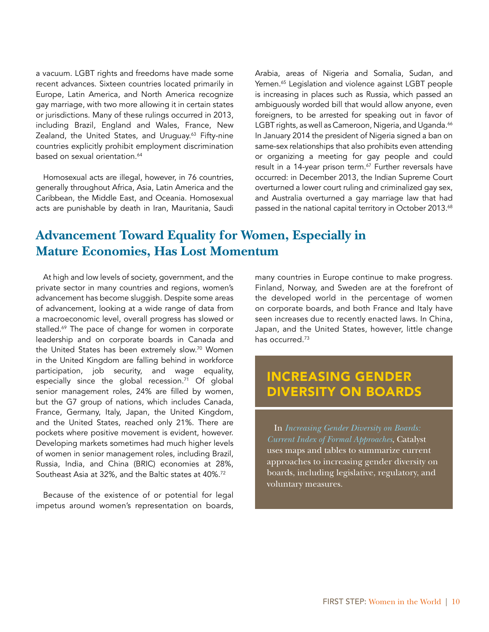a vacuum. LGBT rights and freedoms have made some recent advances. Sixteen countries located primarily in Europe, Latin America, and North America recognize gay marriage, with two more allowing it in certain states or jurisdictions. Many of these rulings occurred in 2013, including Brazil, England and Wales, France, New Zealand, the United States, and Uruguay.<sup>63</sup> Fifty-nine countries explicitly prohibit employment discrimination based on sexual orientation.<sup>64</sup>

Homosexual acts are illegal, however, in 76 countries, generally throughout Africa, Asia, Latin America and the Caribbean, the Middle East, and Oceania. Homosexual acts are punishable by death in Iran, Mauritania, Saudi Arabia, areas of Nigeria and Somalia, Sudan, and Yemen.<sup>65</sup> Legislation and violence against LGBT people is increasing in places such as Russia, which passed an ambiguously worded bill that would allow anyone, even foreigners, to be arrested for speaking out in favor of LGBT rights, as well as Cameroon, Nigeria, and Uganda.<sup>66</sup> In January 2014 the president of Nigeria signed a ban on same-sex relationships that also prohibits even attending or organizing a meeting for gay people and could result in a 14-year prison term.<sup>67</sup> Further reversals have occurred: in December 2013, the Indian Supreme Court overturned a lower court ruling and criminalized gay sex, and Australia overturned a gay marriage law that had passed in the national capital territory in October 2013.<sup>68</sup>

### **Advancement Toward Equality for Women, Especially in Mature Economies, Has Lost Momentum**

At high and low levels of society, government, and the private sector in many countries and regions, women's advancement has become sluggish. Despite some areas of advancement, looking at a wide range of data from a macroeconomic level, overall progress has slowed or stalled.<sup>69</sup> The pace of change for women in corporate leadership and on corporate boards in Canada and the United States has been extremely slow.<sup>70</sup> Women in the United Kingdom are falling behind in workforce participation, job security, and wage equality, especially since the global recession.<sup>71</sup> Of global senior management roles, 24% are filled by women, but the G7 group of nations, which includes Canada, France, Germany, Italy, Japan, the United Kingdom, and the United States, reached only 21%. There are pockets where positive movement is evident, however. Developing markets sometimes had much higher levels of women in senior management roles, including Brazil, Russia, India, and China (BRIC) economies at 28%, Southeast Asia at 32%, and the Baltic states at 40%.72

Because of the existence of or potential for legal impetus around women's representation on boards,

many countries in Europe continue to make progress. Finland, Norway, and Sweden are at the forefront of the developed world in the percentage of women on corporate boards, and both France and Italy have seen increases due to recently enacted laws. In China, Japan, and the United States, however, little change has occurred.73

# INCREASING GENDER DIVERSITY ON BOARDS

In *[Increasing Gender Diversity on Boards:](http://catalyst.org/knowledge/increasing-gender-diversity-boards-current-index-formal-approaches)  [Current Index of Formal Approaches](http://catalyst.org/knowledge/increasing-gender-diversity-boards-current-index-formal-approaches)*, Catalyst uses maps and tables to summarize current approaches to increasing gender diversity on boards, including legislative, regulatory, and voluntary measures.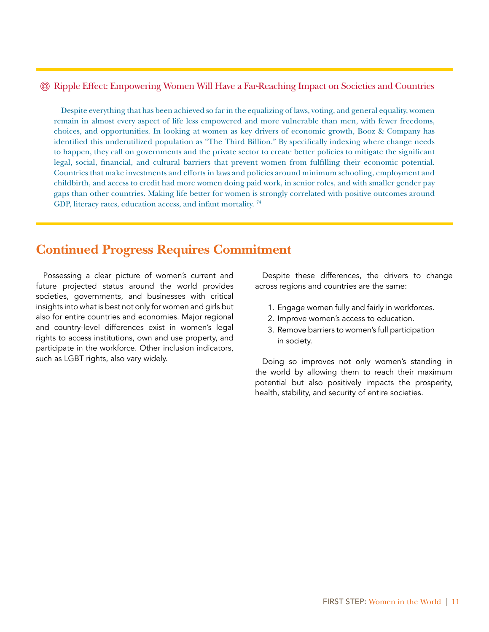#### Ripple Effect: Empowering Women Will Have a Far-Reaching Impact on Societies and Countries

Despite everything that has been achieved so far in the equalizing of laws, voting, and general equality, women remain in almost every aspect of life less empowered and more vulnerable than men, with fewer freedoms, choices, and opportunities. In looking at women as key drivers of economic growth, Booz & Company has identified this underutilized population as "The Third Billion." By specifically indexing where change needs to happen, they call on governments and the private sector to create better policies to mitigate the significant legal, social, financial, and cultural barriers that prevent women from fulfilling their economic potential. Countries that make investments and efforts in laws and policies around minimum schooling, employment and childbirth, and access to credit had more women doing paid work, in senior roles, and with smaller gender pay gaps than other countries. Making life better for women is strongly correlated with positive outcomes around GDP, literacy rates, education access, and infant mortality. 74

### **Continued Progress Requires Commitment**

Possessing a clear picture of women's current and future projected status around the world provides societies, governments, and businesses with critical insights into what is best not only for women and girls but also for entire countries and economies. Major regional and country-level differences exist in women's legal rights to access institutions, own and use property, and participate in the workforce. Other inclusion indicators, such as LGBT rights, also vary widely.

Despite these differences, the drivers to change across regions and countries are the same:

- 1. Engage women fully and fairly in workforces.
- 2. Improve women's access to education.
- 3. Remove barriers to women's full participation in society.

Doing so improves not only women's standing in the world by allowing them to reach their maximum potential but also positively impacts the prosperity, health, stability, and security of entire societies.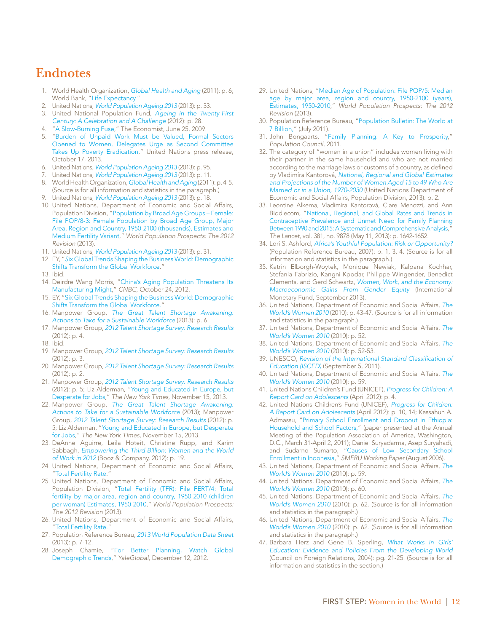### **Endnotes**

- 1. World Health Organization, *[Global Health and Aging](http://www.who.int/ageing/publications/global_health.pdf)* (2011): p. 6; World Bank, "[Life Expectancy](http://www.worldbank.org/depweb/english/modules/social/life/print.html)."
- 2. United Nations, *[World Population Ageing 2013](http://www.un.org/en/development/desa/population/publications/pdf/ageing/WorldPopulationAgeingReport2013.pdf)* (2013): p. 33.
- 3. United National Population Fund, *[Ageing in the Twenty-First](http://www.unfpa.org/public/home/publications/pid/11584) [Century: A Celebration and A Challenge](http://www.unfpa.org/public/home/publications/pid/11584)* (2012): p. 28.
- 4. ["A Slow-Burning Fuse](http://www.economist.com/node/13888045)," The Economist, June 25, 2009.
- 5. ["Burden of Unpaid Work Must be Valued, Formal Sectors](http://www.un.org/News/Press/docs/2013/gaef3372.doc.htm) [Opened to Women, Delegates Urge as Second Committee](http://www.un.org/News/Press/docs/2013/gaef3372.doc.htm) [Takes Up Poverty Eradication](http://www.un.org/News/Press/docs/2013/gaef3372.doc.htm)," United Nations press release, October 17, 2013.
- 6. United Nations, *[World Population Ageing 2013](http://www.un.org/en/development/desa/population/publications/pdf/ageing/WorldPopulationAgeingReport2013.pdf)* (2013): p. 95.
- 7. United Nations, *[World Population Ageing 2013](http://www.un.org/en/development/desa/population/publications/pdf/ageing/WorldPopulationAgeingReport2013.pdf)* (2013): p. 11.
- 8. World Health Organization, *[Global Health and Aging](http://www.who.int/ageing/publications/global_health.pdf)* (2011): p. 4-5. (Source is for all information and statistics in the paragraph.)
- 9. United Nations, *[World Population Ageing 2013](http://www.un.org/en/development/desa/population/publications/pdf/ageing/WorldPopulationAgeingReport2013.pdf)* (2013): p. 18.
- 10. United Nations, Department of Economic and Social Affairs, Population Division, ["Population by Broad Age Groups – Female:](http://esa.un.org/wpp/Excel-Data/population.htm) [File POP/8-3: Female Population by Broad Age Group, Major](http://esa.un.org/wpp/Excel-Data/population.htm) [Area, Region and Country, 1950-2100 \(thousands\), Estimates and](http://esa.un.org/wpp/Excel-Data/population.htm) [Medium Fertility Variant,](http://esa.un.org/wpp/Excel-Data/population.htm)" *World Population Prospects: The 2012 Revision* (2013).
- 11. United Nations, *[World Population Ageing 2013](http://www.un.org/en/development/desa/population/publications/pdf/ageing/WorldPopulationAgeingReport2013.pdf)* (2013): p. 31.
- 12. EY, "*S*[ix Global Trends Shaping the Business World: Demographic](http://www.ey.com/GL/en/Issues/Business-environment/Six-global-trends-shaping-the-business-world---Demographic-shifts-transform-the-global-workforce) [Shifts Transform the Global Workforce.](http://www.ey.com/GL/en/Issues/Business-environment/Six-global-trends-shaping-the-business-world---Demographic-shifts-transform-the-global-workforce)"
- 13. Ibid.
- 14. Deirdre Wang Morris, ["China's Aging Population Threatens Its](http://www.cnbc.com/id/49498720) [Manufacturing Might,](http://www.cnbc.com/id/49498720)" *CNBC*, October 24, 2012.
- 15. EY, ["Six Global Trends Shaping the Business World: Demographic](http://www.ey.com/GL/en/Issues/Business-environment/Six-global-trends-shaping-the-business-world---Demographic-shifts-transform-the-global-workforce) [Shifts Transform the Global Workforce.](http://www.ey.com/GL/en/Issues/Business-environment/Six-global-trends-shaping-the-business-world---Demographic-shifts-transform-the-global-workforce)"
- 16. Manpower Group, *[The Great Talent Shortage Awakening:](http://www.manpowergroup.com/wps/wcm/connect/3335c8e9-8b90-4496-adcc-af1e6ca28d6d/2013_Talent_Shortage_WP_FNL_US_hi.pdf?MOD=AJPERES) [Actions to Take for a Sustainable Workforce](http://www.manpowergroup.com/wps/wcm/connect/3335c8e9-8b90-4496-adcc-af1e6ca28d6d/2013_Talent_Shortage_WP_FNL_US_hi.pdf?MOD=AJPERES)* (2013): p. 6.
- 17. Manpower Group, *[2012 Talent Shortage Survey: Research Results](http://www.manpowergroup.us/campaigns/talent-shortage-2012/pdf/2012_Talent_Shortage_Survey_Results_US_FINALFINAL.pdf)* (2012): p. 4.
- 18. Ibid.
- 19. Manpower Group, *[2012 Talent Shortage Survey: Research Results](http://www.manpowergroup.us/campaigns/talent-shortage-2012/pdf/2012_Talent_Shortage_Survey_Results_US_FINALFINAL.pdf)* (2012): p. 3.
- 20. Manpower Group, *[2012 Talent Shortage Survey: Research Results](http://www.manpowergroup.us/campaigns/talent-shortage-2012/pdf/2012_Talent_Shortage_Survey_Results_US_FINALFINAL.pdf)* (2012): p. 2.
- 21. Manpower Group, *[2012 Talent Shortage Survey: Research Results](http://www.manpowergroup.us/campaigns/talent-shortage-2012/pdf/2012_Talent_Shortage_Survey_Results_US_FINALFINAL.pdf)* (2012): p. 5; Liz Alderman, ["Young and Educated in Europe, but](http://www.nytimes.com/2013/11/16/world/europe/youth-unemployement-in-europe.html) [Desperate for Jobs,](http://www.nytimes.com/2013/11/16/world/europe/youth-unemployement-in-europe.html)" *The New York Times*, November 15, 2013.
- 22. Manpower Group, *[The Great Talent Shortage Awakening:](http://www.manpowergroup.com/wps/wcm/connect/3335c8e9-8b90-4496-adcc-af1e6ca28d6d/2013_Talent_Shortage_WP_FNL_US_hi.pdf?MOD=AJPERES) [Actions to Take for a Sustainable Workforce](http://www.manpowergroup.com/wps/wcm/connect/3335c8e9-8b90-4496-adcc-af1e6ca28d6d/2013_Talent_Shortage_WP_FNL_US_hi.pdf?MOD=AJPERES)* (2013); Manpower Group, *[2012 Talent Shortage Survey: Research Results](http://www.manpowergroup.us/campaigns/talent-shortage-2012/pdf/2012_Talent_Shortage_Survey_Results_US_FINALFINAL.pdf)* (2012): p. 5; Liz Alderman, "[Young and Educated in Europe, but Desperate](http://www.nytimes.com/2013/11/16/world/europe/youth-unemployement-in-europe.html) [for Jobs](http://www.nytimes.com/2013/11/16/world/europe/youth-unemployement-in-europe.html)," *The New York Times*, November 15, 2013.
- 23. DeAnne Aguirre, Leila Hoteit, Christine Rupp, and Karim Sabbagh, *[Empowering the Third Billion: Women and the World](http://www.booz.com/media/uploads/BoozCo_Empowering-the-Third-Billion_Full-Report.pdf) [of Work in 2012](http://www.booz.com/media/uploads/BoozCo_Empowering-the-Third-Billion_Full-Report.pdf)* (Booz & Company, 2012): p. 19.
- 24. United Nations, Department of Economic and Social Affairs, ["Total Fertility Rate](http://www.un.org/esa/sustdev/natlinfo/indicators/methodology_sheets/demographics/total_fertility_rate.pdf)."
- 25. United Nations, Department of Economic and Social Affairs, Population Division, "[Total Fertility \(TFR\): File FERT/4: Total](http://esa.un.org/wpp/Excel-Data/fertility.htm) [fertility by major area, region and country, 1950-2010 \(children](http://esa.un.org/wpp/Excel-Data/fertility.htm) [per woman\) Estimates, 1950-2010](http://esa.un.org/wpp/Excel-Data/fertility.htm)," *World Population Prospects: The 2012 Revision* (2013).
- 26. United Nations, Department of Economic and Social Affairs, "Total Fertility Rate."
- 27. Population Reference Bureau, *[2013 World Population Data Sheet](http://www.prb.org/pdf13/2013-population-data-sheet_eng.pdf)* (2013): p. 7-12.
- 28. Joseph Chamie, "[For Better Planning, Watch Global](http://yaleglobal.yale.edu/content/better-planning-watch-global-demographic-trends) [Demographic Trends,](http://yaleglobal.yale.edu/content/better-planning-watch-global-demographic-trends)" *YaleGlobal*, December 12, 2012.
- 29. United Nations, "[Median Age of Population: File POP/5: Median](http://esa.un.org/wpp/Excel-Data/population.htm)  [age by major area, region and country, 1950-2100 \(years\),](http://esa.un.org/wpp/Excel-Data/population.htm)  [Estimates, 1950-2010,](http://esa.un.org/wpp/Excel-Data/population.htm)" *World Population Prospects: The 2012 Revision* (2013).
- 30. Population Reference Bureau, ["Population Bulletin: The World at](http://www.prb.org/Publications/Datasheets/2011/world-population-data-sheet/population-bulletin.aspx)  [7 Billion,](http://www.prb.org/Publications/Datasheets/2011/world-population-data-sheet/population-bulletin.aspx)" (July 2011).
- 31. John Bongaarts, "[Family Planning: A Key to Prosperity,](http://www.popcouncil.org/ar2011/familyplanning.html)" *Population Council*, 2011.
- 32. The category of "women in a union" includes women living with their partner in the same household and who are not married according to the marriage laws or customs of a country, as defined by Vladimíra Kantorová, *[National, Regional and Global Estimates](http://www.un.org/en/development/desa/population/publications/pdf/technical/TP2013-2.pdf) [and Projections of the Number of Women Aged 15 to 49 Who Are](http://www.un.org/en/development/desa/population/publications/pdf/technical/TP2013-2.pdf) [Married or in a Union, 1970-2030](http://www.un.org/en/development/desa/population/publications/pdf/technical/TP2013-2.pdf)* (United Nations Department of Economic and Social Affairs, Population Division, 2013): p. 2.
- 33. Leontine Alkema, Vladimíra Kantorová, Clare Menozzi, and Ann Biddlecom, ["National, Regional, and Global Rates and Trends in](http://www.thelancet.com/journals/lancet/article/PIIS0140-6736(12)62204-1/fulltext?_eventId=logout)  [Contraceptive Prevalence and Unmet Need for Family Planning](http://www.thelancet.com/journals/lancet/article/PIIS0140-6736(12)62204-1/fulltext?_eventId=logout)  [Between 1990 and 2015: A Systematic and Comprehensive Analysis,](http://www.thelancet.com/journals/lancet/article/PIIS0140-6736(12)62204-1/fulltext?_eventId=logout) *The Lancet*, vol. 381, no. 9878 (May 11, 2013): p. 1642-1652.
- 34. Lori S. Ashford, *[Africa's Youthful Population: Risk or Opportunity?](http://www.prb.org/pdf07/AfricaYouth.pdf)*  (Population Reference Bureau, 2007): p. 1, 3, 4. (Source is for all information and statistics in the paragraph.)
- 35. Katrin Elborgh-Woytek, Monique Newiak, Kalpana Kochhar, Stefania Fabrizio, Kangni Kpodar, Philippe Wingender, Benedict Clements, and Gerd Schwartz, *[Women, Work, and the Economy:](http://www.imf.org/external/pubs/ft/sdn/2013/sdn1310.pdf) [Macroeconomic Gains From Gender Equity](http://www.imf.org/external/pubs/ft/sdn/2013/sdn1310.pdf)* (International Monetary Fund, September 2013).
- 36. United Nations, Department of Economic and Social Affairs, *[The](http://unstats.un.org/unsd/demographic/products/Worldswomen/WW_full%20report_color.pdf)  [World's Women 2010](http://unstats.un.org/unsd/demographic/products/Worldswomen/WW_full%20report_color.pdf)* (2010): p. 43-47. (Source is for all information and statistics in the paragraph.)
- 37. United Nations, Department of Economic and Social Affairs, *[The](http://unstats.un.org/unsd/demographic/products/Worldswomen/WW_full%20report_color.pdf)  [World's Women 2010](http://unstats.un.org/unsd/demographic/products/Worldswomen/WW_full%20report_color.pdf)* (2010): p. 52.
- 38. United Nations, Department of Economic and Social Affairs, *[The](http://unstats.un.org/unsd/demographic/products/Worldswomen/WW_full%20report_color.pdf)  [World's Women 2010](http://unstats.un.org/unsd/demographic/products/Worldswomen/WW_full%20report_color.pdf)* (2010): p. 52-53.
- 39. UNESCO, [Revision of the International Standard Classification of](http://www.uis.unesco.org/Education/Documents/UNESCO_GC_36C-19_ISCED_EN.pdf)  *[Education \(ISCED\)](http://www.uis.unesco.org/Education/Documents/UNESCO_GC_36C-19_ISCED_EN.pdf)* (September 5, 2011).
- 40. United Nations, Department of Economic and Social Affairs, *[The](http://unstats.un.org/unsd/demographic/products/Worldswomen/WW_full%20report_color.pdf)  [World's Women 2010](http://unstats.un.org/unsd/demographic/products/Worldswomen/WW_full%20report_color.pdf)* (2010): p. 59.
- 41. United Nations Children's Fund (UNICEF), *[Progress for Children: A](http://www.unicef.org/media/files/PFC2012_A_report_card_on_adolescents.pdf) [Report Card on Adolescents](http://www.unicef.org/media/files/PFC2012_A_report_card_on_adolescents.pdf)* (April 2012): p. 4.
- 42. United Nations Children's Fund (UNICEF), *[Progress for Children:](http://www.unicef.org/media/files/PFC2012_A_report_card_on_adolescents.pdf) [A Report Card on Adolescents](http://www.unicef.org/media/files/PFC2012_A_report_card_on_adolescents.pdf)* (April 2012): p. 10, 14; Kassahun A. Admassu, ["Primary School Enrollment and Dropout in Ethiopia:](http://paa2011.princeton.edu/abstracts/111283) [Household and School Factors](http://paa2011.princeton.edu/abstracts/111283)," (paper presented at the Annual Meeting of the Population Association of America, Washington, D.C., March 31-April 2, 2011); Daniel Suryadarma, Asep Suryahadi, and Sudarno Sumarto, "[Causes of Low Secondary School](http://www.smeru.or.id/report/workpaper/lowschoolenroll/Enrollmenteng06.pdf) [Enrollment in Indonesia](http://www.smeru.or.id/report/workpaper/lowschoolenroll/Enrollmenteng06.pdf)," *SMERU Working Paper* (August 2006).
- 43. United Nations, Department of Economic and Social Affairs, *[The](http://unstats.un.org/unsd/demographic/products/Worldswomen/WW_full%20report_color.pdf)  [World's Women 2010](http://unstats.un.org/unsd/demographic/products/Worldswomen/WW_full%20report_color.pdf)* (2010): p. 59.
- 44. United Nations, Department of Economic and Social Affairs, *[The](http://unstats.un.org/unsd/demographic/products/Worldswomen/WW_full%20report_color.pdf)  [World's Women 2010](http://unstats.un.org/unsd/demographic/products/Worldswomen/WW_full%20report_color.pdf)* (2010): p. 60.
- 45. United Nations, Department of Economic and Social Affairs, *[The](http://unstats.un.org/unsd/demographic/products/Worldswomen/WW_full%20report_color.pdf)  [World's Women 2010](http://unstats.un.org/unsd/demographic/products/Worldswomen/WW_full%20report_color.pdf)* (2010): p. 62. (Source is for all information and statistics in the paragraph.)
- 46. United Nations, Department of Economic and Social Affairs, *[The](http://unstats.un.org/unsd/demographic/products/Worldswomen/WW_full%20report_color.pdf)  [World's Women 2010](http://unstats.un.org/unsd/demographic/products/Worldswomen/WW_full%20report_color.pdf)* (2010): p. 62. (Source is for all information and statistics in the paragraph.)
- 47. Barbara Herz and Gene B. Sperling, *[What Works in Girls'](https://www.google.com/url?sa=t&rct=j&q=&esrc=s&source=web&cd=2&cad=rja&ved=0CDUQFjAB&url=http%3A%2F%2Fwww.cfr.org%2Fcontent%2Fpublications%2Fattachments%2FGirls_Education_full.pdf&ei=B-qgUsWSHIS7kQfmmICwAw&usg=AFQjCNFF7IxjZaFQiAKIOat4xfEXh-CuDQ&sig2=lw6gGFhTxf2ysGSqEDYqmw&bvm=bv.57155469,d.eW0)  [Education: Evidence and Policies From the Developing World](https://www.google.com/url?sa=t&rct=j&q=&esrc=s&source=web&cd=2&cad=rja&ved=0CDUQFjAB&url=http%3A%2F%2Fwww.cfr.org%2Fcontent%2Fpublications%2Fattachments%2FGirls_Education_full.pdf&ei=B-qgUsWSHIS7kQfmmICwAw&usg=AFQjCNFF7IxjZaFQiAKIOat4xfEXh-CuDQ&sig2=lw6gGFhTxf2ysGSqEDYqmw&bvm=bv.57155469,d.eW0)* (Council on Foreign Relations, 2004): pg. 21-25. (Source is for all information and statistics in the section.)